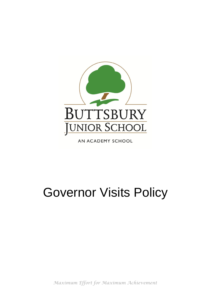

AN ACADEMY SCHOOL

# Governor Visits Policy

*Maximum Effort for Maximum Achievement*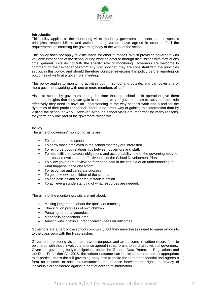

#### **Introduction**

This policy applies to the monitoring visits made by governors and sets out the specific principles, responsibilities and actions that governors have agreed in order to fulfil the requirements of informing the governing body of the work of the school.

This policy does not apply to visits made for other purposes. Whilst providing governors with valuable experience of the school during working days or through discussions with staff at any time, general visits do not fulfil the specific role of monitoring. Governors are welcome to comment on their experiences from any visit provided they are consistent with the principles set out in this policy, and should therefore consider reviewing this policy before reporting on outcomes of visits at a governors' meeting.

This policy applies to monitoring activities both in school and outside, and can cover one or more governors working with one or more members of staff.

Visits to school by governors during the time that the school is in operation give them important insights that they can gain in no other way. If governors are to carry out their role effectively they need to have an understanding of the way schools work and a feel for the dynamics of their particular school. There is no better way of gaining this information than by visiting the school at work. However, although school visits are important for many reasons, they form only one part of the governors' wider role.

#### **Policy**

The aims of governors' monitoring visits are:

- To learn about the school.
- To show those employed in the school that they are interested.
- To reinforce good relationships between governors and staff.
- To help fulfil the statutory obligations and accountability role of the governing body to monitor and evaluate the effectiveness of the School Development Plan.
- To allow governors to view performance data in the context of an understanding of what happens in the classroom.
- To recognise and celebrate success.
- To get to know the children of the school.
- To see policies and scheme of work in action.
- To achieve an understanding of what resources are needed.

The aims of the monitoring visits are **not** about:

- Making judgements about the quality of teaching.
- Checking on progress of own children.
- Pursuing personal agendas.
- Monopolising teachers' time.
- Arriving with inflexible, preconceived ideas on outcomes.

Governors are a part of the school community, but they nevertheless need to agree any visits to the classroom with the Headteacher.

Governors monitoring visits must have a purpose, and an outcome in written record form to be shared with those involved and once agreed in that forum, to be shared with all governors. Given the governing body's obligations under the General Data Protection Regulations and the Data Protection Act 2018, the written outcome can be released unedited to appropriate third parties unless the full governing body acts to make the report confidential and agrees a form for release. In such circumstances, the balance between the rights to privacy of individuals is considered against a right of access of information.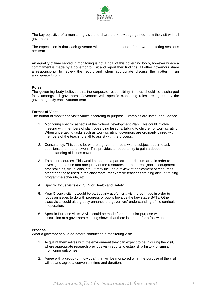

The key objective of a monitoring visit is to share the knowledge gained from the visit with all governors.

The expectation is that each governor will attend at least one of the two monitoring sessions per term.

An equality of time served in monitoring is not a goal of this governing body, however where a commitment is made by a governor to visit and report their findings, all other governors share a responsibility to review the report and when appropriate discuss the matter in an appropriate forum.

#### **Roles**

The governing body believes that the corporate responsibility it holds should be discharged fairly amongst all governors. Governors with specific monitoring roles are agreed by the governing body each Autumn term.

#### **Format of Visits**

The format of monitoring visits varies according to purpose. Examples are listed for guidance.

- 1. Monitoring specific aspects of the School Development Plan. This could involve meeting with members of staff, observing lessons, talking to children or work scrutiny. When undertaking tasks such as work scrutiny, governors are ordinarily paired with members of the teaching staff to assist with the process.
- 2. Consultancy. This could be where a governor meets with a subject leader to ask questions and note answers. This provides an opportunity to gain a deeper understanding of issues covered.
- 3. To audit resources. This would happen in a particular curriculum area in order to investigate the use and adequacy of the resources for that area, (books, equipment, practical aids, visual aids, etc). It may include a review of deployment of resources other than those used in the classroom, for example teacher's training aids, a training programme schedule, etc.
- 4. Specific focus visits e.g. SEN or Health and Safety.
- 5. Year Group visits. It would be particularly useful for a visit to be made in order to focus on issues to do with progress of pupils towards the key stage SATs. Other class visits could also greatly enhance the governors' understanding of the curriculum in operation.
- 6. Specific Purpose visits. A visit could be made for a particular purpose when discussion at a governors meeting shows that there is a need for a follow up.

#### **Process**

What a governor should do before conducting a monitoring visit:

- 1. Acquaint themselves with the environment they can expect to be in during the visit, where appropriate research previous visit reports to establish a history of similar monitoring outcomes.
- 2. Agree with a group (or individual) that will be monitored what the purpose of the visit will be and agree a convenient time and duration.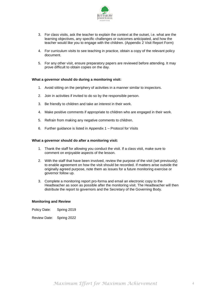

- 3. For class visits, ask the teacher to explain the context at the outset, i.e. what are the learning objectives, any specific challenges or outcomes anticipated, and how the teacher would like you to engage with the children. (Appendix 2 Visit Report Form)
- 4. For curriculum visits to see teaching in practice, obtain a copy of the relevant policy document.
- 5. For any other visit, ensure preparatory papers are reviewed before attending. It may prove difficult to obtain copies on the day.

#### **What a governor should do during a monitoring visit:**

- 1. Avoid sitting on the periphery of activities in a manner similar to inspectors.
- 2. Join in activities if invited to do so by the responsible person.
- 3. Be friendly to children and take an interest in their work.
- 4. Make positive comments if appropriate to children who are engaged in their work.
- 5. Refrain from making any negative comments to children.
- 6. Further guidance is listed in Appendix 1 Protocol for Visits

#### **What a governor should do after a monitoring visit:**

- 1. Thank the staff for allowing you conduct the visit. If a class visit, make sure to comment on enjoyable aspects of the lesson.
- 2. With the staff that have been involved, review the purpose of the visit (set previously) to enable agreement on how the visit should be recorded. If matters arise outside the originally agreed purpose, note them as issues for a future monitoring exercise or governor follow up.
- 3. Complete a monitoring report pro-forma and email an electronic copy to the Headteacher as soon as possible after the monitoring visit. The Headteacher will then distribute the report to governors and the Secretary of the Governing Body.

#### **Monitoring and Review**

Policy Date: Spring 2019

Review Date: Spring 2022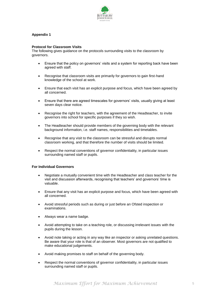

# **Appendix 1**

### **Protocol for Classroom Visits**

The following gives guidance on the protocols surrounding visits to the classroom by governors.

- Ensure that the policy on governors' visits and a system for reporting back have been agreed with staff.
- Recognise that classroom visits are primarily for governors to gain first-hand knowledge of the school at work.
- Ensure that each visit has an explicit purpose and focus, which have been agreed by all concerned.
- Ensure that there are agreed timescales for governors' visits, usually giving at least seven days clear notice.
- Recognise the right for teachers, with the agreement of the Headteacher, to invite governors into school for specific purposes if they so wish.
- The Headteacher should provide members of the governing body with the relevant background information, i.e. staff names, responsibilities and timetables.
- Recognise that any visit to the classroom can be stressful and disrupts normal classroom working, and that therefore the number of visits should be limited.
- Respect the normal conventions of governor confidentiality, in particular issues surrounding named staff or pupils.

#### **For Individual Governors**

- Negotiate a mutually convenient time with the Headteacher and class teacher for the visit and discussion afterwards, recognising that teachers' and governors' time is valuable.
- Ensure that any visit has an explicit purpose and focus, which have been agreed with all concerned.
- Avoid stressful periods such as during or just before an Ofsted inspection or examinations.
- Always wear a name badge.
- Avoid attempting to take on a teaching role, or discussing irrelevant issues with the pupils during the lesson.
- Avoid note taking or acting in any way like an inspector or asking unrelated questions. Be aware that your role is that of an observer. Most governors are not qualified to make educational judgements.
- Avoid making promises to staff on behalf of the governing body.
- Respect the normal conventions of governor confidentiality, in particular issues surrounding named staff or pupils.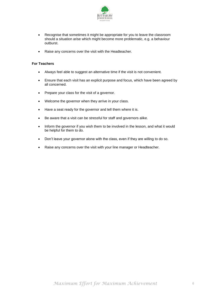

- Recognise that sometimes it might be appropriate for you to leave the classroom should a situation arise which might become more problematic, e.g. a behaviour outburst.
- Raise any concerns over the visit with the Headteacher.

# **For Teachers**

- Always feel able to suggest an alternative time if the visit is not convenient.
- Ensure that each visit has an explicit purpose and focus, which have been agreed by all concerned.
- Prepare your class for the visit of a governor.
- Welcome the governor when they arrive in your class.
- Have a seat ready for the governor and tell them where it is.
- Be aware that a visit can be stressful for staff and governors alike.
- Inform the governor if you wish them to be involved in the lesson, and what it would be helpful for them to do.
- Don't leave your governor alone with the class, even if they are willing to do so.
- Raise any concerns over the visit with your line manager or Headteacher.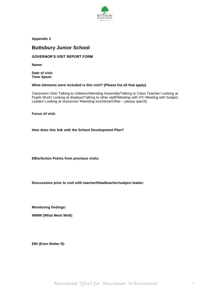

**Appendix 2**

# **Buttsbury Junior School**

# **GOVERNOR'S VISIT REPORT FORM**

**Name:**

**Date of visit: Time Spent:**

## **What elements were included is this visit? (Please list all that apply)**

Classroom Visit/ Talking to children/Attending Assembly/Talking to Class Teacher/ Looking at Pupils Work/ Looking at displays/Talking to other staff//Meeting with HT/ Meeting with Subject Leader/ Looking at resources/ Attending lunchtime/Other – please specify

**Focus of visit:**

**How does this link with the School Development Plan?** 

**EBIs/Action Points from previous visits:** 

**Discussions prior to visit with teacher/Headteacher/subject leader:**

**Monitoring findings:**

**WWW (What Went Well):**

**EBI (Even Better If):**